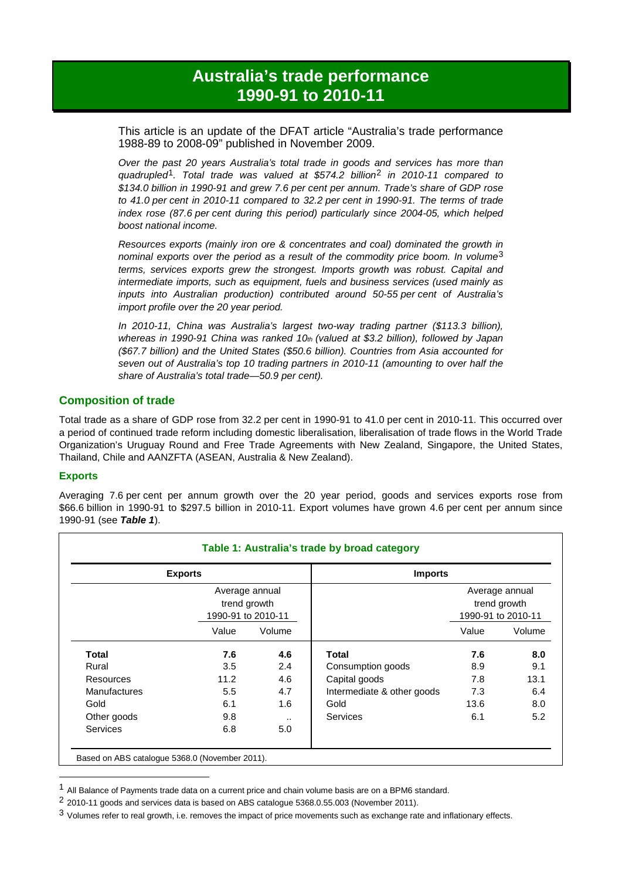# **Australia's trade performance 1990-91 to 2010-11**

This article is an update of the DFAT article "Australia's trade performance 1988-89 to 2008-09" published in November 2009.

*Over the past 20 years Australia's total trade in goods and services has more than quadrupled*[1](#page-0-0)*. Total trade was valued at \$574.2 billion*[2](#page-0-1) *in 2010-11 compared to \$134.0 billion in 1990-91 and grew 7.6 per cent per annum. Trade's share of GDP rose to 41.0 per cent in 2010-11 compared to 32.2 per cent in 1990-91. The terms of trade index rose (87.6 per cent during this period) particularly since 2004-05, which helped boost national income.*

*Resources exports (mainly iron ore & concentrates and coal) dominated the growth in nominal exports over the period as a result of the commodity price boom. In volume*[3](#page-0-2) *terms, services exports grew the strongest. Imports growth was robust. Capital and intermediate imports, such as equipment, fuels and business services (used mainly as inputs into Australian production) contributed around 50-55 per cent of Australia's import profile over the 20 year period.*

*In 2010-11, China was Australia's largest two-way trading partner (\$113.3 billion), whereas in 1990-91 China was ranked 10th (valued at \$3.2 billion), followed by Japan (\$67.7 billion) and the United States (\$50.6 billion). Countries from Asia accounted for seven out of Australia's top 10 trading partners in 2010-11 (amounting to over half the share of Australia's total trade—50.9 per cent).*

# **Composition of trade**

Total trade as a share of GDP rose from 32.2 per cent in 1990-91 to 41.0 per cent in 2010-11. This occurred over a period of continued trade reform including domestic liberalisation, liberalisation of trade flows in the World Trade Organization's Uruguay Round and Free Trade Agreements with New Zealand, Singapore, the United States, Thailand, Chile and AANZFTA (ASEAN, Australia & New Zealand).

## **Exports**

<u>.</u>

Averaging 7.6 per cent per annum growth over the 20 year period, goods and services exports rose from \$66.6 billion in 1990-91 to \$297.5 billion in 2010-11. Export volumes have grown 4.6 per cent per annum since 1990-91 (see *Table 1*).

| <b>Exports</b>  |                                                      |        | <b>Imports</b>             |                                                      |        |
|-----------------|------------------------------------------------------|--------|----------------------------|------------------------------------------------------|--------|
|                 | Average annual<br>trend growth<br>1990-91 to 2010-11 |        |                            | Average annual<br>trend growth<br>1990-91 to 2010-11 |        |
|                 | Value                                                | Volume |                            | Value                                                | Volume |
| Total           | 7.6                                                  | 4.6    | <b>Total</b>               | 7.6                                                  | 8.0    |
| Rural           | 3.5                                                  | 2.4    | Consumption goods          | 8.9                                                  | 9.1    |
| Resources       | 11.2                                                 | 4.6    | Capital goods              | 7.8                                                  | 13.1   |
| Manufactures    | 5.5                                                  | 4.7    | Intermediate & other goods | 7.3                                                  | 6.4    |
| Gold            | 6.1                                                  | 1.6    | Gold                       | 13.6                                                 | 8.0    |
| Other goods     | 9.8                                                  |        | Services                   | 6.1                                                  | 5.2    |
| <b>Services</b> | 6.8                                                  | 5.0    |                            |                                                      |        |

<span id="page-0-0"></span><sup>1</sup> All Balance of Payments trade data on a current price and chain volume basis are on a BPM6 standard.

<span id="page-0-3"></span><span id="page-0-1"></span><sup>2</sup> 2010-11 goods and services data is based on ABS catalogue 5368.0.55.003 (November 2011).

<span id="page-0-2"></span> $3$  Volumes refer to real growth, i.e. removes the impact of price movements such as exchange rate and inflationary effects.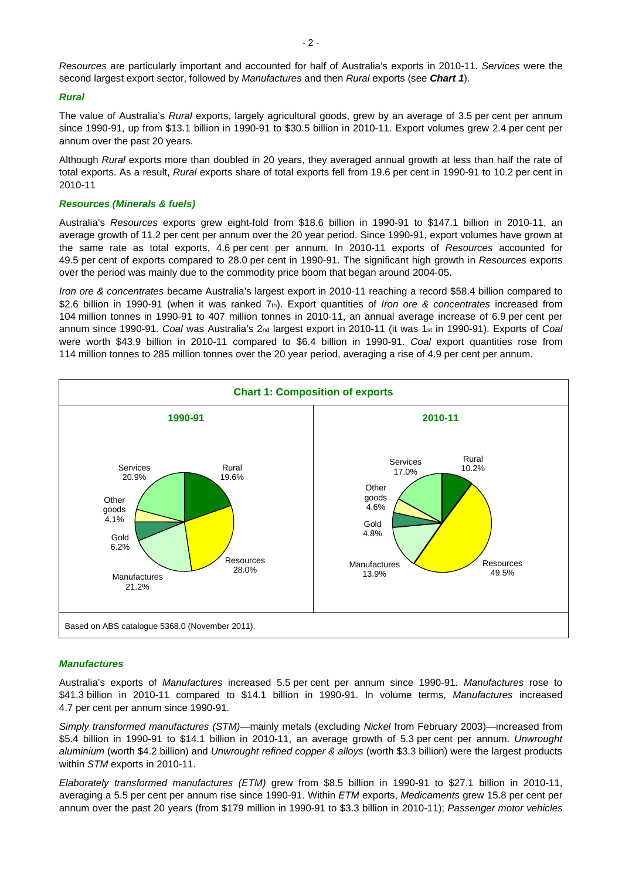*Resources* are particularly important and accounted for half of Australia's exports in 2010-11. *Services* were the second largest export sector, followed by *Manufactures* and then *Rural* exports (see *Chart 1*).

#### *Rural*

The value of Australia's *Rural* exports, largely agricultural goods, grew by an average of 3.5 per cent per annum since 1990-91, up from \$13.1 billion in 1990-91 to \$30.5 billion in 2010-11. Export volumes grew 2.4 per cent per annum over the past 20 years.

Although *Rural* exports more than doubled in 20 years, they averaged annual growth at less than half the rate of total exports. As a result, *Rural* exports share of total exports fell from 19.6 per cent in 1990-91 to 10.2 per cent in 2010-11

#### *Resources (Minerals & fuels)*

Australia's *Resources* exports grew eight-fold from \$18.6 billion in 1990-91 to \$147.1 billion in 2010-11, an average growth of 11.2 per cent per annum over the 20 year period. Since 1990-91, export volumes have grown at the same rate as total exports, 4.6 per cent per annum. In 2010-11 exports of *Resources* accounted for 49.5 per cent of exports compared to 28.0 per cent in 1990-91. The significant high growth in *Resources* exports over the period was mainly due to the commodity price boom that began around 2004-05.

*Iron ore & concentrates* became Australia's largest export in 2010-11 reaching a record \$58.4 billion compared to \$2.6 billion in 1990-91 (when it was ranked 7th). Export quantities of *Iron ore & concentrates* increased from 104 million tonnes in 1990-91 to 407 million tonnes in 2010-11, an annual average increase of 6.9 per cent per annum since 1990-91. *Coal* was Australia's 2nd largest export in 2010-11 (it was 1st in 1990-91). Exports of *Coal* were worth \$43.9 billion in 2010-11 compared to \$6.4 billion in 1990-91. *Coal* export quantities rose from 114 million tonnes to 285 million tonnes over the 20 year period, averaging a rise of 4.9 per cent per annum.



#### *Manufactures*

Australia's exports of *Manufactures* increased 5.5 per cent per annum since 1990-91. *Manufactures* rose to \$41.3 billion in 2010-11 compared to \$14.1 billion in 1990-91. In volume terms, *Manufactures* increased 4.7 per cent per annum since 1990-91.

*Simply transformed manufactures (STM)*—mainly metals (excluding *Nickel* from February 2003)—increased from \$5.4 billion in 1990-91 to \$14.1 billion in 2010-11, an average growth of 5.3 per cent per annum. *Unwrought aluminium* (worth \$4.2 billion) and *Unwrought refined copper & alloys* (worth \$3.3 billion) were the largest products within *STM* exports in 2010-11.

*Elaborately transformed manufactures (ETM)* grew from \$8.5 billion in 1990-91 to \$27.1 billion in 2010-11, averaging a 5.5 per cent per annum rise since 1990-91. Within *ETM* exports, *Medicaments* grew 15.8 per cent per annum over the past 20 years (from \$179 million in 1990-91 to \$3.3 billion in 2010-11); *Passenger motor vehicles*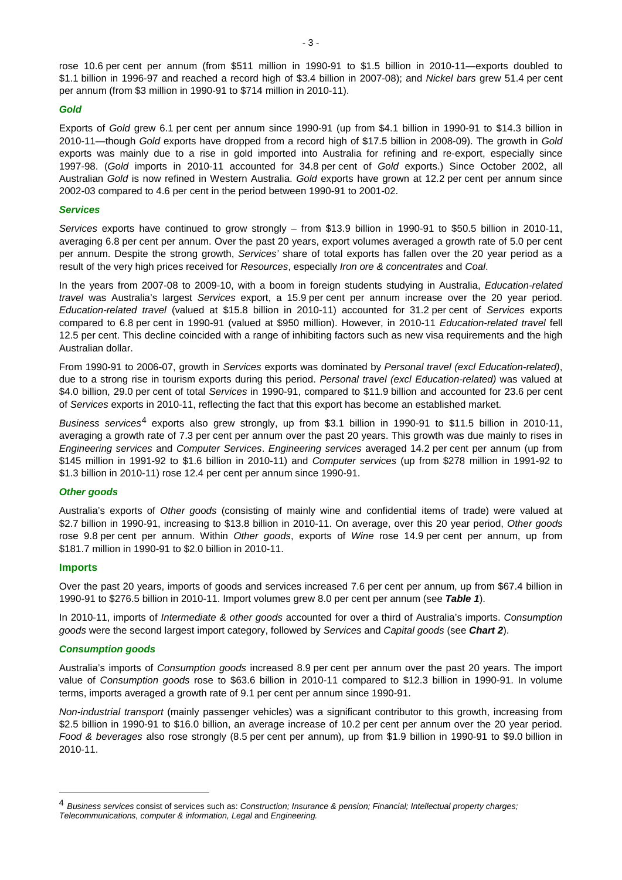rose 10.6 per cent per annum (from \$511 million in 1990-91 to \$1.5 billion in 2010-11—exports doubled to \$1.1 billion in 1996-97 and reached a record high of \$3.4 billion in 2007-08); and *Nickel bars* grew 51.4 per cent per annum (from \$3 million in 1990-91 to \$714 million in 2010-11).

#### *Gold*

Exports of *Gold* grew 6.1 per cent per annum since 1990-91 (up from \$4.1 billion in 1990-91 to \$14.3 billion in 2010-11—though *Gold* exports have dropped from a record high of \$17.5 billion in 2008-09). The growth in *Gold*  exports was mainly due to a rise in gold imported into Australia for refining and re-export, especially since 1997-98. (*Gold* imports in 2010-11 accounted for 34.8 per cent of *Gold* exports.) Since October 2002, all Australian *Gold* is now refined in Western Australia. *Gold* exports have grown at 12.2 per cent per annum since 2002-03 compared to 4.6 per cent in the period between 1990-91 to 2001-02.

#### *Services*

*Services* exports have continued to grow strongly – from \$13.9 billion in 1990-91 to \$50.5 billion in 2010-11, averaging 6.8 per cent per annum. Over the past 20 years, export volumes averaged a growth rate of 5.0 per cent per annum. Despite the strong growth, *Services'* share of total exports has fallen over the 20 year period as a result of the very high prices received for *Resources*, especially *Iron ore & concentrates* and *Coal*.

In the years from 2007-08 to 2009-10, with a boom in foreign students studying in Australia, *Education-related travel* was Australia's largest *Services* export, a 15.9 per cent per annum increase over the 20 year period. *Education-related travel* (valued at \$15.8 billion in 2010-11) accounted for 31.2 per cent of *Services* exports compared to 6.8 per cent in 1990-91 (valued at \$950 million). However, in 2010-11 *Education-related travel* fell 12.5 per cent. This decline coincided with a range of inhibiting factors such as new visa requirements and the high Australian dollar.

From 1990-91 to 2006-07, growth in *Services* exports was dominated by *Personal travel (excl Education-related)*, due to a strong rise in tourism exports during this period. *Personal travel (excl Education-related)* was valued at \$4.0 billion, 29.0 per cent of total *Services* in 1990-91, compared to \$11.9 billion and accounted for 23.6 per cent of *Services* exports in 2010-11, reflecting the fact that this export has become an established market.

*Business services*[4](#page-0-3) exports also grew strongly, up from \$3.1 billion in 1990-91 to \$11.5 billion in 2010-11, averaging a growth rate of 7.3 per cent per annum over the past 20 years. This growth was due mainly to rises in *Engineering services* and *Computer Services*. *Engineering services* averaged 14.2 per cent per annum (up from \$145 million in 1991-92 to \$1.6 billion in 2010-11) and *Computer services* (up from \$278 million in 1991-92 to \$1.3 billion in 2010-11) rose 12.4 per cent per annum since 1990-91.

### *Other goods*

Australia's exports of *Other goods* (consisting of mainly wine and confidential items of trade) were valued at \$2.7 billion in 1990-91, increasing to \$13.8 billion in 2010-11. On average, over this 20 year period, *Other goods*  rose 9.8 per cent per annum. Within *Other goods*, exports of *Wine* rose 14.9 per cent per annum, up from \$181.7 million in 1990-91 to \$2.0 billion in 2010-11.

#### **Imports**

<span id="page-2-0"></span><u>.</u>

Over the past 20 years, imports of goods and services increased 7.6 per cent per annum, up from \$67.4 billion in 1990-91 to \$276.5 billion in 2010-11. Import volumes grew 8.0 per cent per annum (see *Table 1*).

In 2010-11, imports of *Intermediate & other goods* accounted for over a third of Australia's imports. *Consumption goods* were the second largest import category, followed by *Services* and *Capital goods* (see *Chart 2*).

### *Consumption goods*

Australia's imports of *Consumption goods* increased 8.9 per cent per annum over the past 20 years. The import value of *Consumption goods* rose to \$63.6 billion in 2010-11 compared to \$12.3 billion in 1990-91. In volume terms, imports averaged a growth rate of 9.1 per cent per annum since 1990-91.

*Non-industrial transport* (mainly passenger vehicles) was a significant contributor to this growth, increasing from \$2.5 billion in 1990-91 to \$16.0 billion, an average increase of 10.2 per cent per annum over the 20 year period. *Food & beverages* also rose strongly (8.5 per cent per annum), up from \$1.9 billion in 1990-91 to \$9.0 billion in 2010-11.

<sup>4</sup> *Business services* consist of services such as: *Construction; Insurance & pension; Financial; Intellectual property charges; Telecommunications, computer & information, Legal* and *Engineering.*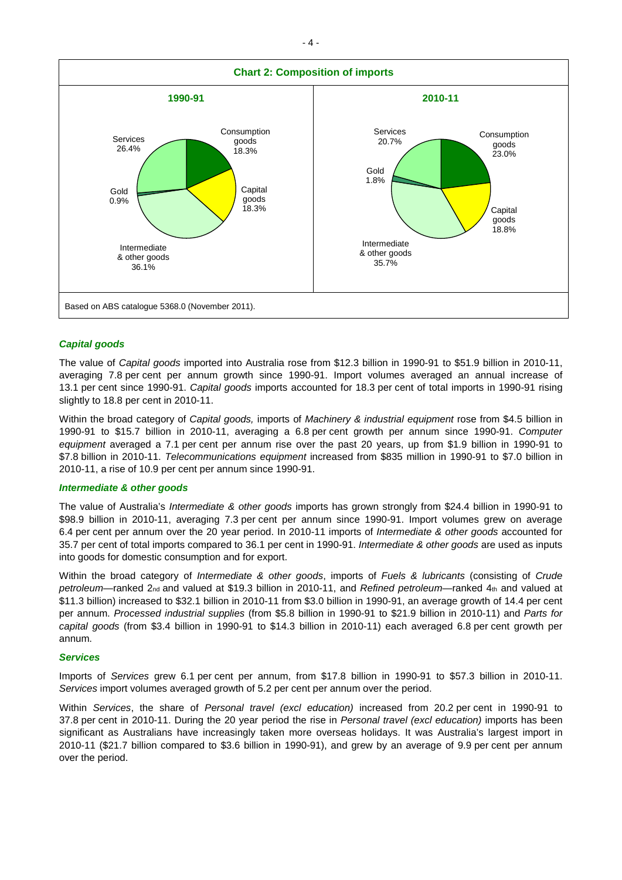

### *Capital goods*

The value of *Capital goods* imported into Australia rose from \$12.3 billion in 1990-91 to \$51.9 billion in 2010-11, averaging 7.8 per cent per annum growth since 1990-91. Import volumes averaged an annual increase of 13.1 per cent since 1990-91. *Capital goods* imports accounted for 18.3 per cent of total imports in 1990-91 rising slightly to 18.8 per cent in 2010-11.

Within the broad category of *Capital goods,* imports of *Machinery & industrial equipment* rose from \$4.5 billion in 1990-91 to \$15.7 billion in 2010-11, averaging a 6.8 per cent growth per annum since 1990-91. *Computer equipment* averaged a 7.1 per cent per annum rise over the past 20 years, up from \$1.9 billion in 1990-91 to \$7.8 billion in 2010-11. *Telecommunications equipment* increased from \$835 million in 1990-91 to \$7.0 billion in 2010-11, a rise of 10.9 per cent per annum since 1990-91.

### *Intermediate & other goods*

The value of Australia's *Intermediate & other goods* imports has grown strongly from \$24.4 billion in 1990-91 to \$98.9 billion in 2010-11, averaging 7.3 per cent per annum since 1990-91. Import volumes grew on average 6.4 per cent per annum over the 20 year period. In 2010-11 imports of *Intermediate & other goods* accounted for 35.7 per cent of total imports compared to 36.1 per cent in 1990-91. *Intermediate & other goods* are used as inputs into goods for domestic consumption and for export.

Within the broad category of *Intermediate & other goods*, imports of *Fuels & lubricants* (consisting of *Crude petroleum*—ranked 2nd and valued at \$19.3 billion in 2010-11, and *Refined petroleum*—ranked 4th and valued at \$11.3 billion) increased to \$32.1 billion in 2010-11 from \$3.0 billion in 1990-91, an average growth of 14.4 per cent per annum. *Processed industrial supplies* (from \$5.8 billion in 1990-91 to \$21.9 billion in 2010-11) and *Parts for capital goods* (from \$3.4 billion in 1990-91 to \$14.3 billion in 2010-11) each averaged 6.8 per cent growth per annum.

#### *Services*

Imports of *Services* grew 6.1 per cent per annum, from \$17.8 billion in 1990-91 to \$57.3 billion in 2010-11. *Services* import volumes averaged growth of 5.2 per cent per annum over the period.

Within *Services*, the share of *Personal travel (excl education)* increased from 20.2 per cent in 1990-91 to 37.8 per cent in 2010-11. During the 20 year period the rise in *Personal travel (excl education)* imports has been significant as Australians have increasingly taken more overseas holidays. It was Australia's largest import in 2010-11 (\$21.7 billion compared to \$3.6 billion in 1990-91), and grew by an average of 9.9 per cent per annum over the period.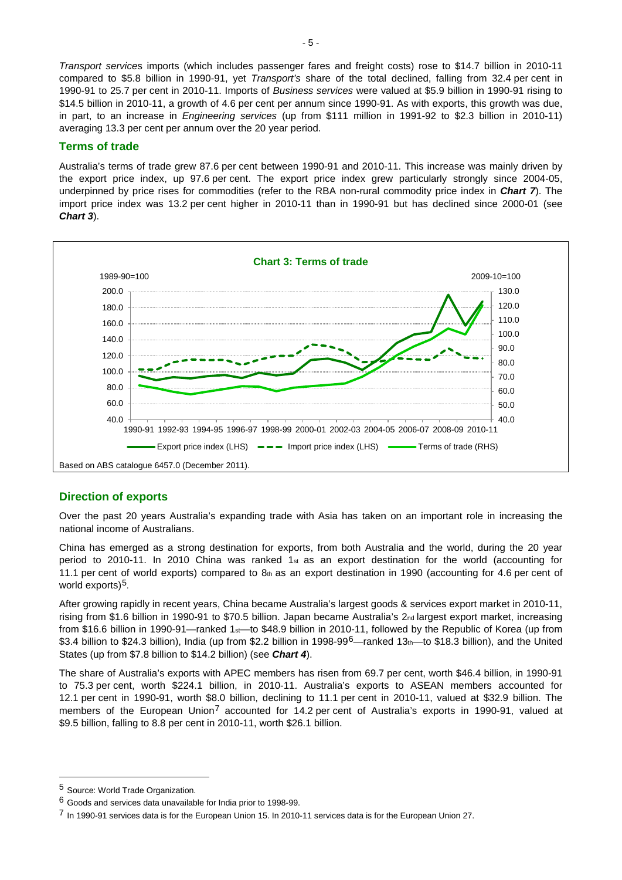*Transport service*s imports (which includes passenger fares and freight costs) rose to \$14.7 billion in 2010-11 compared to \$5.8 billion in 1990-91, yet *Transport's* share of the total declined, falling from 32.4 per cent in 1990-91 to 25.7 per cent in 2010-11. Imports of *Business services* were valued at \$5.9 billion in 1990-91 rising to \$14.5 billion in 2010-11, a growth of 4.6 per cent per annum since 1990-91. As with exports, this growth was due, in part, to an increase in *Engineering services* (up from \$111 million in 1991-92 to \$2.3 billion in 2010-11) averaging 13.3 per cent per annum over the 20 year period.

### **Terms of trade**

Australia's terms of trade grew 87.6 per cent between 1990-91 and 2010-11. This increase was mainly driven by the export price index, up 97.6 per cent. The export price index grew particularly strongly since 2004-05, underpinned by price rises for commodities (refer to the RBA non-rural commodity price index in *Chart 7*). The import price index was 13.2 per cent higher in 2010-11 than in 1990-91 but has declined since 2000-01 (see *Chart 3*).



## **Direction of exports**

Over the past 20 years Australia's expanding trade with Asia has taken on an important role in increasing the national income of Australians.

China has emerged as a strong destination for exports, from both Australia and the world, during the 20 year period to 2010-11. In 2010 China was ranked 1st as an export destination for the world (accounting for 11.1 per cent of world exports) compared to  $8<sub>th</sub>$  as an export destination in 1990 (accounting for 4.6 per cent of world exports)<sup>[5](#page-2-0)</sup>.

After growing rapidly in recent years, China became Australia's largest goods & services export market in 2010-11, rising from \$1.6 billion in 1990-91 to \$70.5 billion. Japan became Australia's 2nd largest export market, increasing from \$16.6 billion in 1990-91—ranked 1<sub>st</sub>—to \$48.9 billion in 2010-11, followed by the Republic of Korea (up from \$3.4 billion to \$24.3 billion), India (up from \$2.2 billion in 1998-99<sup>[6](#page-4-0)</sup>—ranked 13th—to \$18.3 billion), and the United States (up from \$7.8 billion to \$14.2 billion) (see *Chart 4*).

The share of Australia's exports with APEC members has risen from 69.7 per cent, worth \$46.4 billion, in 1990-91 to 75.3 per cent, worth \$224.1 billion, in 2010-11. Australia's exports to ASEAN members accounted for 12.1 per cent in 1990-91, worth \$8.0 billion, declining to 11.1 per cent in 2010-11, valued at \$32.9 billion. The members of the European Union<sup>[7](#page-4-1)</sup> accounted for 14.2 per cent of Australia's exports in 1990-91, valued at \$9.5 billion, falling to 8.8 per cent in 2010-11, worth \$26.1 billion.

<u>.</u>

<sup>5</sup> Source: World Trade Organization.

<span id="page-4-0"></span><sup>6</sup> Goods and services data unavailable for India prior to 1998-99.

<span id="page-4-1"></span><sup>7</sup> In 1990-91 services data is for the European Union 15. In 2010-11 services data is for the European Union 27.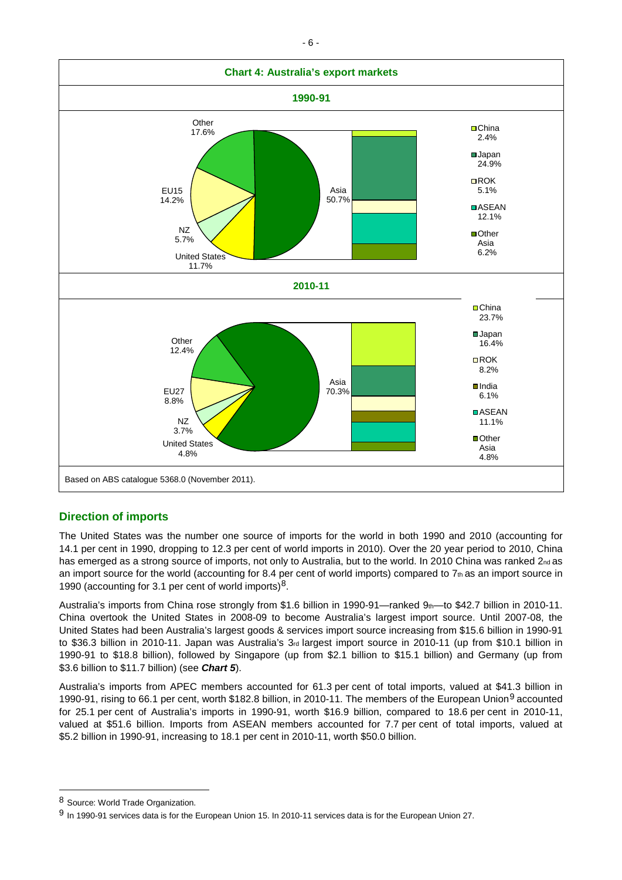

# **Direction of imports**

The United States was the number one source of imports for the world in both 1990 and 2010 (accounting for 14.1 per cent in 1990, dropping to 12.3 per cent of world imports in 2010). Over the 20 year period to 2010, China has emerged as a strong source of imports, not only to Australia, but to the world. In 2010 China was ranked 2nd as an import source for the world (accounting for 8.4 per cent of world imports) compared to  $7<sub>th</sub>$  as an import source in 1990 (accounting for 3.1 per cent of world imports) $8$ .

Australia's imports from China rose strongly from \$1.6 billion in 1990-91—ranked 9th—to \$42.7 billion in 2010-11. China overtook the United States in 2008-09 to become Australia's largest import source. Until 2007-08, the United States had been Australia's largest goods & services import source increasing from \$15.6 billion in 1990-91 to \$36.3 billion in 2010-11. Japan was Australia's 3rd largest import source in 2010-11 (up from \$10.1 billion in 1990-91 to \$18.8 billion), followed by Singapore (up from \$2.1 billion to \$15.1 billion) and Germany (up from \$3.6 billion to \$11.7 billion) (see *Chart 5*).

Australia's imports from APEC members accounted for 61.3 per cent of total imports, valued at \$41.3 billion in 1[9](#page-5-0)90-91, rising to 66.1 per cent, worth \$182.8 billion, in 2010-11. The members of the European Union<sup>9</sup> accounted for 25.1 per cent of Australia's imports in 1990-91, worth \$16.9 billion, compared to 18.6 per cent in 2010-11, valued at \$51.6 billion. Imports from ASEAN members accounted for 7.7 per cent of total imports, valued at \$5.2 billion in 1990-91, increasing to 18.1 per cent in 2010-11, worth \$50.0 billion.

<u>.</u>

<sup>8</sup> Source: World Trade Organization.

<span id="page-5-0"></span><sup>9</sup> In 1990-91 services data is for the European Union 15. In 2010-11 services data is for the European Union 27.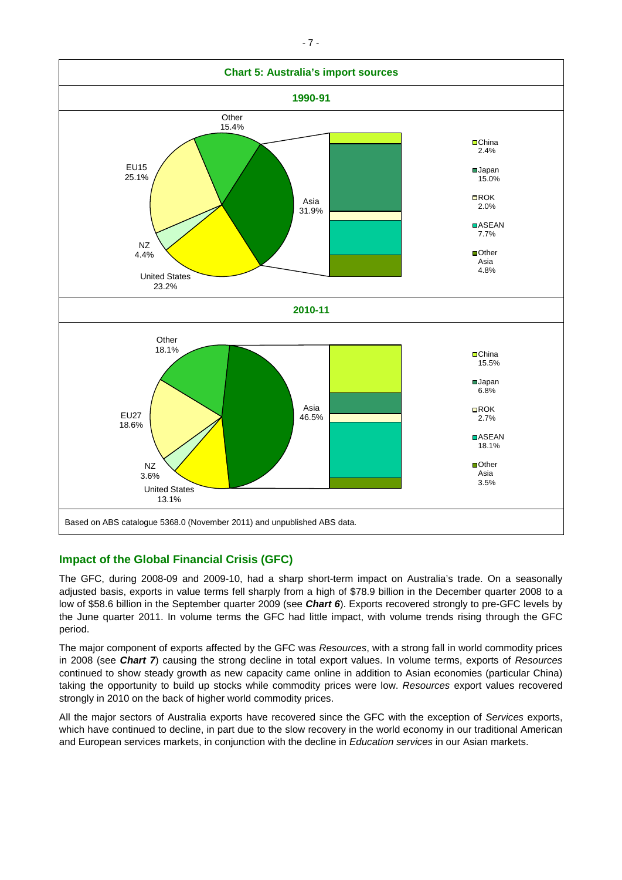

# **Impact of the Global Financial Crisis (GFC)**

The GFC, during 2008-09 and 2009-10, had a sharp short-term impact on Australia's trade. On a seasonally adjusted basis, exports in value terms fell sharply from a high of \$78.9 billion in the December quarter 2008 to a low of \$58.6 billion in the September quarter 2009 (see *Chart 6*). Exports recovered strongly to pre-GFC levels by the June quarter 2011. In volume terms the GFC had little impact, with volume trends rising through the GFC period.

The major component of exports affected by the GFC was *Resources*, with a strong fall in world commodity prices in 2008 (see *Chart 7*) causing the strong decline in total export values. In volume terms, exports of *Resources* continued to show steady growth as new capacity came online in addition to Asian economies (particular China) taking the opportunity to build up stocks while commodity prices were low. *Resources* export values recovered strongly in 2010 on the back of higher world commodity prices.

All the major sectors of Australia exports have recovered since the GFC with the exception of *Services* exports, which have continued to decline, in part due to the slow recovery in the world economy in our traditional American and European services markets, in conjunction with the decline in *Education services* in our Asian markets.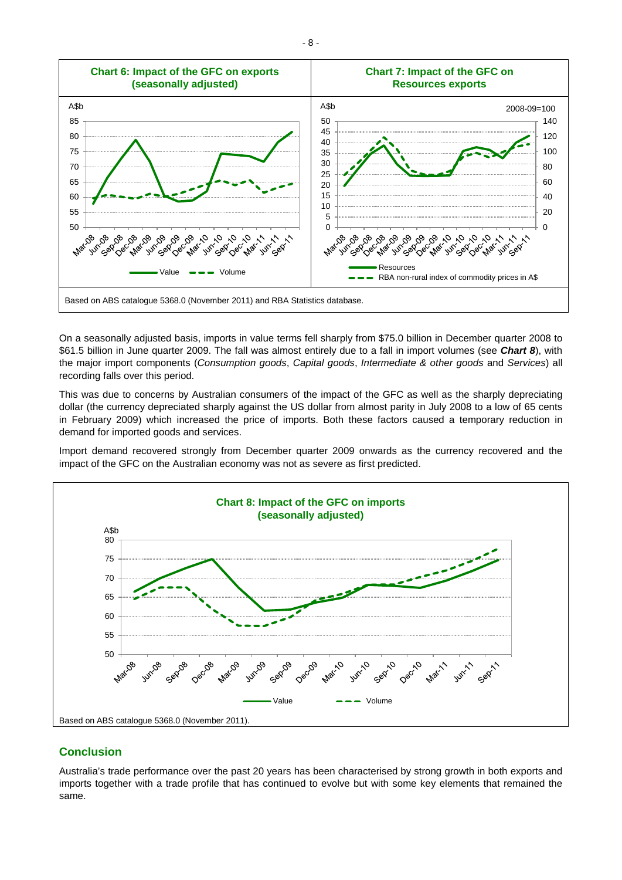

On a seasonally adjusted basis, imports in value terms fell sharply from \$75.0 billion in December quarter 2008 to \$61.5 billion in June quarter 2009. The fall was almost entirely due to a fall in import volumes (see *Chart 8*), with the major import components (*Consumption goods*, *Capital goods*, *Intermediate & other goods* and *Services*) all recording falls over this period.

This was due to concerns by Australian consumers of the impact of the GFC as well as the sharply depreciating dollar (the currency depreciated sharply against the US dollar from almost parity in July 2008 to a low of 65 cents in February 2009) which increased the price of imports. Both these factors caused a temporary reduction in demand for imported goods and services.

Import demand recovered strongly from December quarter 2009 onwards as the currency recovered and the impact of the GFC on the Australian economy was not as severe as first predicted.



# **Conclusion**

Australia's trade performance over the past 20 years has been characterised by strong growth in both exports and imports together with a trade profile that has continued to evolve but with some key elements that remained the same.

- 8 -